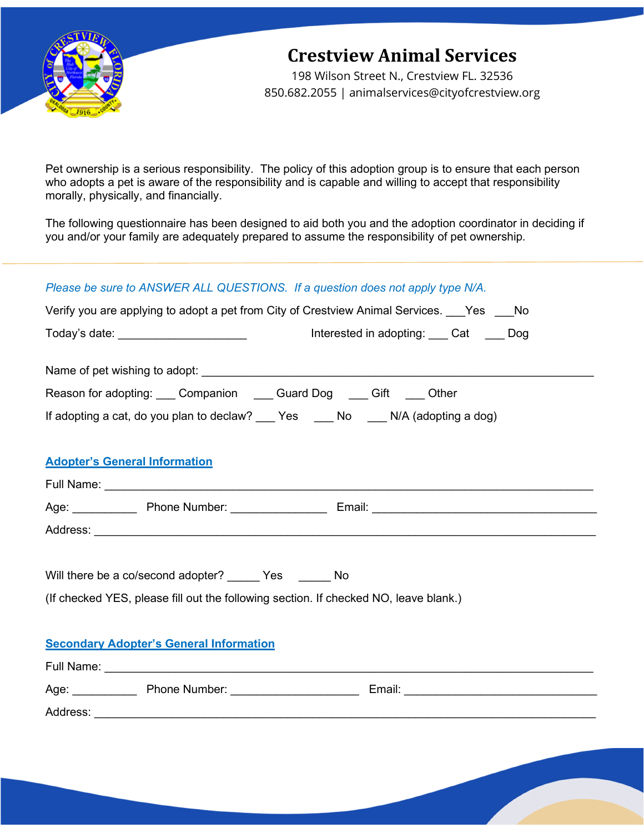

# **Crestview Animal Services**

198 Wilson Street N., Crestview FL. 32536 850.682.2055 | animalservices@cityofcrestview.org

Pet ownership is a serious responsibility. The policy of this adoption group is to ensure that each person who adopts a pet is aware of the responsibility and is capable and willing to accept that responsibility morally, physically, and financially.

The following questionnaire has been designed to aid both you and the adoption coordinator in deciding if you and/or your family are adequately prepared to assume the responsibility of pet ownership.

#### *Please be sure to ANSWER ALL QUESTIONS. If a question does not apply type N/A.*

| Verify you are applying to adopt a pet from City of Crestview Animal Services. Pes Allo |  |
|-----------------------------------------------------------------------------------------|--|
|                                                                                         |  |
|                                                                                         |  |
| Reason for adopting: Companion Cuard Dog Cift Cother                                    |  |
| If adopting a cat, do you plan to declaw? ___ Yes ____ No ____ N/A (adopting a dog)     |  |
| <b>Adopter's General Information</b>                                                    |  |
|                                                                                         |  |
|                                                                                         |  |
|                                                                                         |  |
| Will there be a co/second adopter? ______ Yes ______ No                                 |  |
| (If checked YES, please fill out the following section. If checked NO, leave blank.)    |  |
| <b>Secondary Adopter's General Information</b>                                          |  |
|                                                                                         |  |
|                                                                                         |  |
|                                                                                         |  |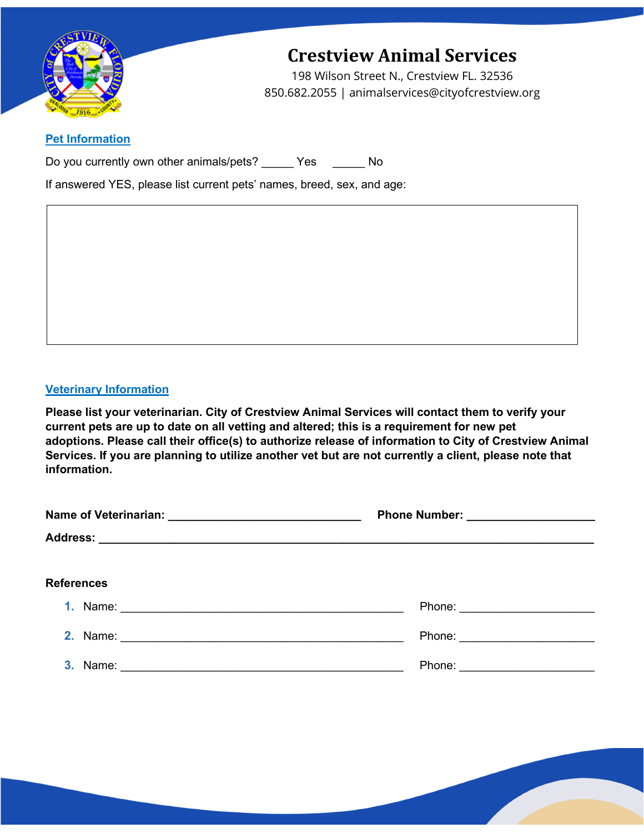

# **Crestview Animal Services**

198 Wilson Street N., Crestview FL. 32536 850.682.2055 | animalservices@cityofcrestview.org

### **Pet Information**

Do you currently own other animals/pets? Yes No

If answered YES, please list current pets' names, breed, sex, and age:

#### **Veterinary Information**

**Please list your veterinarian. City of Crestview Animal Services will contact them to verify your current pets are up to date on all vetting and altered; this is a requirement for new pet adoptions. Please call their office(s) to authorize release of information to City of Crestview Animal Services. If you are planning to utilize another vet but are not currently a client, please note that information.**

| Name of Veterinarian: _________________________________ |                              |
|---------------------------------------------------------|------------------------------|
|                                                         |                              |
| <b>References</b>                                       |                              |
|                                                         | Phone: _____________________ |
|                                                         | Phone: _____________________ |
|                                                         | Phone: _____________________ |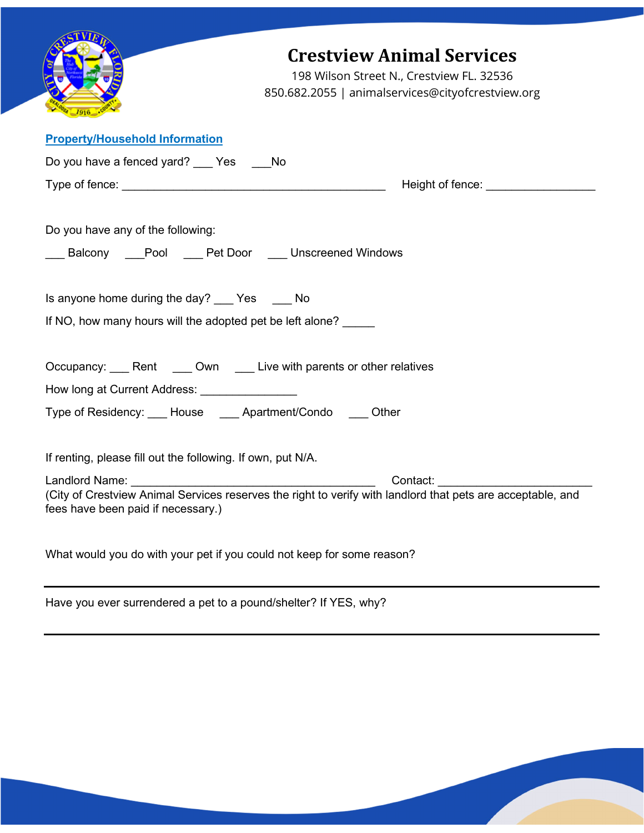| <b>Crestview Animal Services</b><br>198 Wilson Street N., Crestview FL. 32536<br>850.682.2055   animalservices@cityofcrestview.org                                                                   |
|------------------------------------------------------------------------------------------------------------------------------------------------------------------------------------------------------|
| <b>Property/Household Information</b>                                                                                                                                                                |
| Do you have a fenced yard? Yes No                                                                                                                                                                    |
| Height of fence: __________________                                                                                                                                                                  |
| Do you have any of the following:<br>___ Balcony ____ Pool ____ Pet Door ____ Unscreened Windows                                                                                                     |
| Is anyone home during the day? ___ Yes ___ No                                                                                                                                                        |
| If NO, how many hours will the adopted pet be left alone?                                                                                                                                            |
| Occupancy: Rent Cown Live with parents or other relatives<br>How long at Current Address: ________________<br>Type of Residency: ___ House ____ Apartment/Condo ____ Other                           |
| If renting, please fill out the following. If own, put N/A.                                                                                                                                          |
| Landlord Name: ______<br>Contact: _____________<br>(City of Crestview Animal Services reserves the right to verify with landlord that pets are acceptable, and<br>fees have been paid if necessary.) |
| What would you do with your pet if you could not keep for some reason?                                                                                                                               |
| Have you ever surrendered a pet to a pound/shelter? If YES, why?                                                                                                                                     |